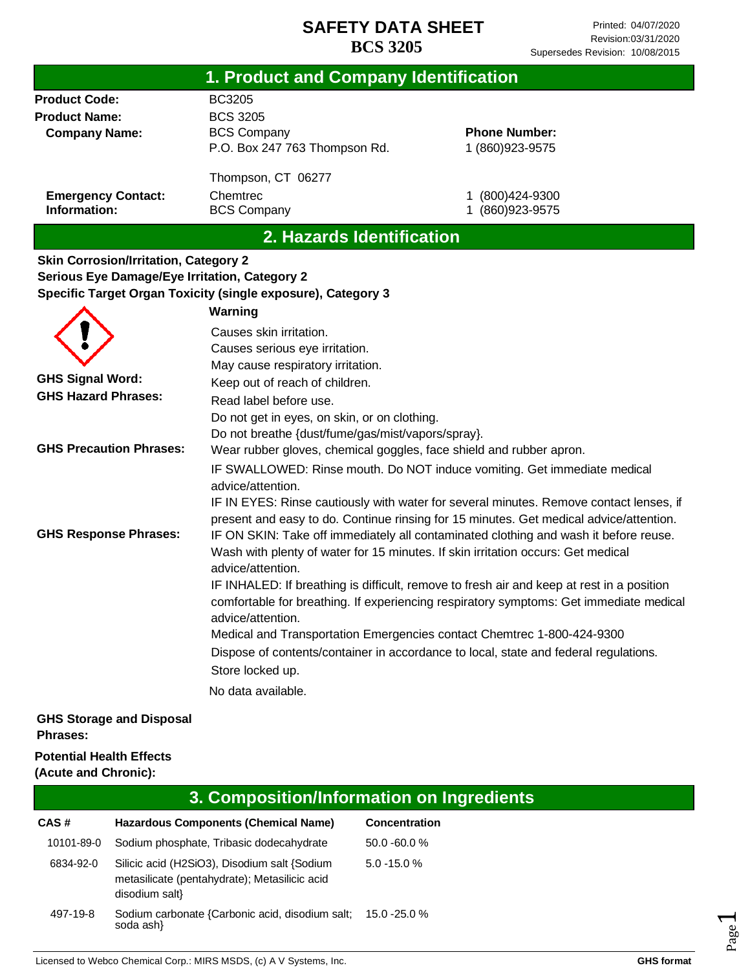|                                                      | 1. Product and Company Identification                               |                                                                                           |
|------------------------------------------------------|---------------------------------------------------------------------|-------------------------------------------------------------------------------------------|
| <b>Product Code:</b>                                 | <b>BC3205</b>                                                       |                                                                                           |
| <b>Product Name:</b>                                 | <b>BCS 3205</b>                                                     |                                                                                           |
| <b>Company Name:</b>                                 | <b>BCS Company</b>                                                  | <b>Phone Number:</b>                                                                      |
|                                                      | P.O. Box 247 763 Thompson Rd.                                       | 1 (860) 923-9575                                                                          |
|                                                      |                                                                     |                                                                                           |
|                                                      | Thompson, CT 06277                                                  |                                                                                           |
| <b>Emergency Contact:</b>                            | Chemtrec                                                            | (800)424-9300                                                                             |
| Information:                                         | <b>BCS Company</b>                                                  | 1 (860) 923-9575                                                                          |
|                                                      | 2. Hazards Identification                                           |                                                                                           |
| <b>Skin Corrosion/Irritation, Category 2</b>         |                                                                     |                                                                                           |
| <b>Serious Eye Damage/Eye Irritation, Category 2</b> |                                                                     |                                                                                           |
|                                                      | Specific Target Organ Toxicity (single exposure), Category 3        |                                                                                           |
|                                                      | Warning                                                             |                                                                                           |
|                                                      | Causes skin irritation.                                             |                                                                                           |
|                                                      |                                                                     |                                                                                           |
|                                                      | Causes serious eye irritation.<br>May cause respiratory irritation. |                                                                                           |
| <b>GHS Signal Word:</b>                              |                                                                     |                                                                                           |
| <b>GHS Hazard Phrases:</b>                           | Keep out of reach of children.                                      |                                                                                           |
|                                                      | Read label before use.                                              |                                                                                           |
|                                                      | Do not get in eyes, on skin, or on clothing.                        |                                                                                           |
|                                                      | Do not breathe {dust/fume/gas/mist/vapors/spray}.                   |                                                                                           |
| <b>GHS Precaution Phrases:</b>                       | Wear rubber gloves, chemical goggles, face shield and rubber apron. |                                                                                           |
|                                                      |                                                                     | IF SWALLOWED: Rinse mouth. Do NOT induce vomiting. Get immediate medical                  |
|                                                      | advice/attention.                                                   |                                                                                           |
|                                                      |                                                                     | IF IN EYES: Rinse cautiously with water for several minutes. Remove contact lenses, if    |
|                                                      |                                                                     | present and easy to do. Continue rinsing for 15 minutes. Get medical advice/attention.    |
| <b>GHS Response Phrases:</b>                         |                                                                     | IF ON SKIN: Take off immediately all contaminated clothing and wash it before reuse.      |
|                                                      |                                                                     | Wash with plenty of water for 15 minutes. If skin irritation occurs: Get medical          |
|                                                      | advice/attention.                                                   |                                                                                           |
|                                                      |                                                                     | IF INHALED: If breathing is difficult, remove to fresh air and keep at rest in a position |
|                                                      |                                                                     | comfortable for breathing. If experiencing respiratory symptoms: Get immediate medical    |
|                                                      | advice/attention.                                                   |                                                                                           |
|                                                      |                                                                     | Medical and Transportation Emergencies contact Chemtrec 1-800-424-9300                    |
|                                                      |                                                                     | Dispose of contents/container in accordance to local, state and federal regulations.      |
|                                                      | Store locked up.                                                    |                                                                                           |
|                                                      | No data available.                                                  |                                                                                           |
| <b>GHS Storage and Disposal</b>                      |                                                                     |                                                                                           |
| <b>Phrases:</b>                                      |                                                                     |                                                                                           |
| <b>Potential Health Effects</b>                      |                                                                     |                                                                                           |

#### **(Acute and Chronic):**

|            | 3. Composition/Information on Ingredients                                                                       |                 |  |
|------------|-----------------------------------------------------------------------------------------------------------------|-----------------|--|
| CAS#       | Hazardous Components (Chemical Name)                                                                            | Concentration   |  |
| 10101-89-0 | Sodium phosphate, Tribasic dodecahydrate                                                                        | $50.0 - 60.0 %$ |  |
| 6834-92-0  | Silicic acid (H2SiO3), Disodium salt {Sodium<br>metasilicate (pentahydrate); Metasilicic acid<br>disodium salt} | $5.0 - 15.0 %$  |  |
| 497-19-8   | Sodium carbonate {Carbonic acid, disodium salt;<br>soda ash}                                                    | 15.0 -25.0 %    |  |

Licensed to Webco Chemical Corp.: MIRS MSDS, (c) A V Systems, Inc. **GHS** format **GHS** format

Page  $\overline{\phantom{0}}$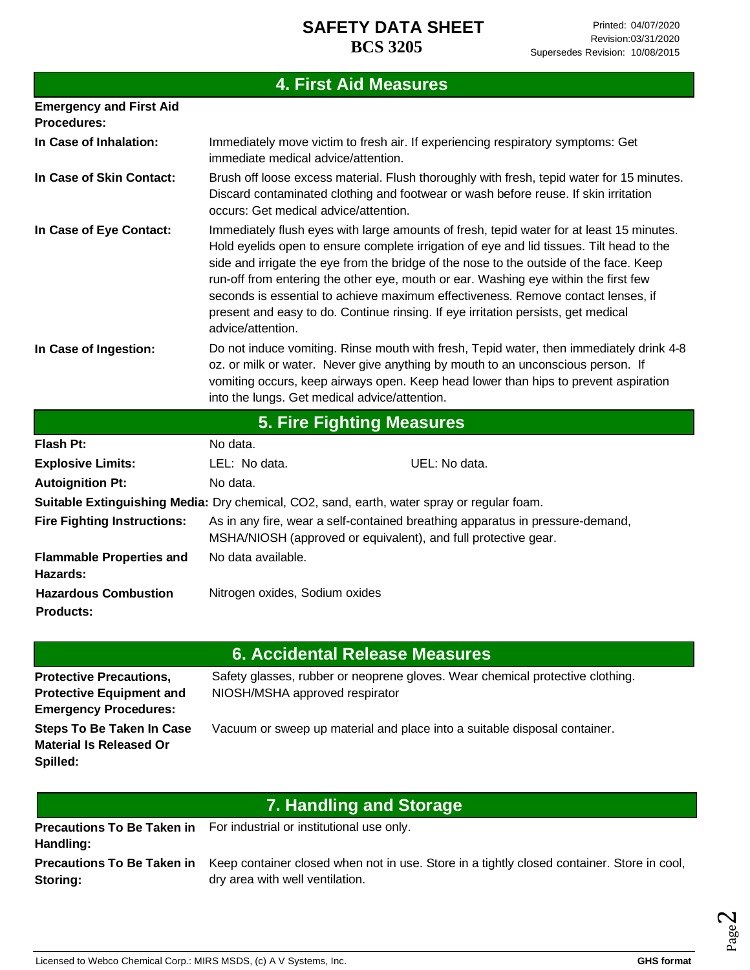# **4. First Aid Measures**

| <b>Emergency and First Aid</b><br><b>Procedures:</b> |                                               |                                                                                                                                                                                                                                                                                                                                                                                                                                                                                                                                                |
|------------------------------------------------------|-----------------------------------------------|------------------------------------------------------------------------------------------------------------------------------------------------------------------------------------------------------------------------------------------------------------------------------------------------------------------------------------------------------------------------------------------------------------------------------------------------------------------------------------------------------------------------------------------------|
| In Case of Inhalation:                               | immediate medical advice/attention.           | Immediately move victim to fresh air. If experiencing respiratory symptoms: Get                                                                                                                                                                                                                                                                                                                                                                                                                                                                |
| In Case of Skin Contact:                             | occurs: Get medical advice/attention.         | Brush off loose excess material. Flush thoroughly with fresh, tepid water for 15 minutes.<br>Discard contaminated clothing and footwear or wash before reuse. If skin irritation                                                                                                                                                                                                                                                                                                                                                               |
| In Case of Eye Contact:                              | advice/attention.                             | Immediately flush eyes with large amounts of fresh, tepid water for at least 15 minutes.<br>Hold eyelids open to ensure complete irrigation of eye and lid tissues. Tilt head to the<br>side and irrigate the eye from the bridge of the nose to the outside of the face. Keep<br>run-off from entering the other eye, mouth or ear. Washing eye within the first few<br>seconds is essential to achieve maximum effectiveness. Remove contact lenses, if<br>present and easy to do. Continue rinsing. If eye irritation persists, get medical |
| In Case of Ingestion:                                | into the lungs. Get medical advice/attention. | Do not induce vomiting. Rinse mouth with fresh, Tepid water, then immediately drink 4-8<br>oz. or milk or water. Never give anything by mouth to an unconscious person. If<br>vomiting occurs, keep airways open. Keep head lower than hips to prevent aspiration                                                                                                                                                                                                                                                                              |
|                                                      |                                               | 5. Fire Fighting Measures                                                                                                                                                                                                                                                                                                                                                                                                                                                                                                                      |
| <b>Flash Pt:</b>                                     | No data.                                      |                                                                                                                                                                                                                                                                                                                                                                                                                                                                                                                                                |
| <b>Explosive Limits:</b>                             | LEL: No data.                                 | UEL: No data.                                                                                                                                                                                                                                                                                                                                                                                                                                                                                                                                  |

| EXPIDSIVE LIIIIIIS.                         | LEL. INU Udid.                                                                             | UEL. INU Udid.                                                                |
|---------------------------------------------|--------------------------------------------------------------------------------------------|-------------------------------------------------------------------------------|
| <b>Autoignition Pt:</b>                     | No data.                                                                                   |                                                                               |
|                                             | Suitable Extinguishing Media: Dry chemical, CO2, sand, earth, water spray or regular foam. |                                                                               |
| <b>Fire Fighting Instructions:</b>          | MSHA/NIOSH (approved or equivalent), and full protective gear.                             | As in any fire, wear a self-contained breathing apparatus in pressure-demand, |
| <b>Flammable Properties and</b><br>Hazards: | No data available.                                                                         |                                                                               |
| <b>Hazardous Combustion</b>                 | Nitrogen oxides, Sodium oxides                                                             |                                                                               |
| <b>Products:</b>                            |                                                                                            |                                                                               |

#### **6. Accidental Release Measures**

| <b>Protective Precautions,</b><br><b>Protective Equipment and</b>              | Safety glasses, rubber or neoprene gloves. Wear chemical protective clothing.<br>NIOSH/MSHA approved respirator |
|--------------------------------------------------------------------------------|-----------------------------------------------------------------------------------------------------------------|
| <b>Emergency Procedures:</b>                                                   |                                                                                                                 |
| <b>Steps To Be Taken In Case</b><br><b>Material Is Released Or</b><br>Spilled: | Vacuum or sweep up material and place into a suitable disposal container.                                       |

|  | <b>7. Handling and Storage</b> |
|--|--------------------------------|
|  |                                |

|           | <b>Precautions To Be Taken in</b> For industrial or institutional use only.                                                  |
|-----------|------------------------------------------------------------------------------------------------------------------------------|
| Handling: |                                                                                                                              |
|           | <b>Precautions To Be Taken in</b> Keep container closed when not in use. Store in a tightly closed container. Store in cool, |
| Storing:  | dry area with well ventilation.                                                                                              |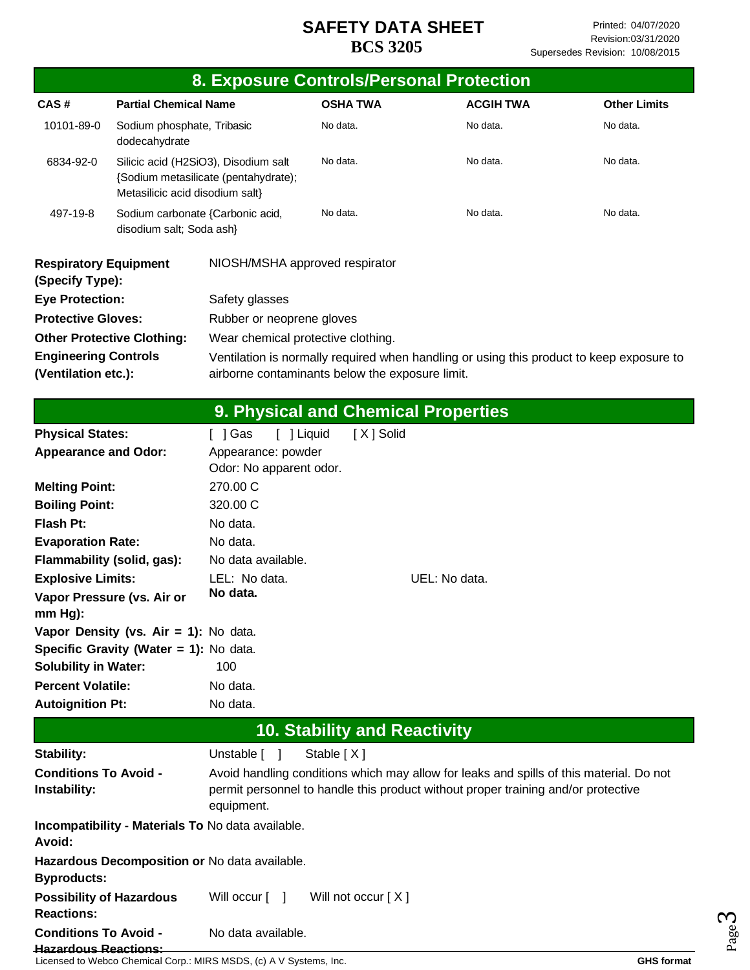|                                                             |                                                                         |                                                   |                                     | 8. Exposure Controls/Personal Protection                                                                                                                                     |                     |
|-------------------------------------------------------------|-------------------------------------------------------------------------|---------------------------------------------------|-------------------------------------|------------------------------------------------------------------------------------------------------------------------------------------------------------------------------|---------------------|
| CAS#                                                        | <b>Partial Chemical Name</b>                                            |                                                   | <b>OSHA TWA</b>                     | <b>ACGIH TWA</b>                                                                                                                                                             | <b>Other Limits</b> |
| 10101-89-0                                                  | Sodium phosphate, Tribasic<br>dodecahydrate                             |                                                   | No data.                            | No data.                                                                                                                                                                     | No data.            |
| 6834-92-0                                                   | Silicic acid (H2SiO3), Disodium salt<br>Metasilicic acid disodium salt} | {Sodium metasilicate (pentahydrate);              | No data.                            | No data.                                                                                                                                                                     | No data.            |
| 497-19-8                                                    | Sodium carbonate {Carbonic acid,<br>disodium salt; Soda ash}            |                                                   | No data.                            | No data.                                                                                                                                                                     | No data.            |
| <b>Respiratory Equipment</b><br>(Specify Type):             |                                                                         | NIOSH/MSHA approved respirator                    |                                     |                                                                                                                                                                              |                     |
| <b>Eye Protection:</b>                                      |                                                                         | Safety glasses                                    |                                     |                                                                                                                                                                              |                     |
| <b>Protective Gloves:</b>                                   |                                                                         | Rubber or neoprene gloves                         |                                     |                                                                                                                                                                              |                     |
|                                                             | <b>Other Protective Clothing:</b>                                       | Wear chemical protective clothing.                |                                     |                                                                                                                                                                              |                     |
| <b>Engineering Controls</b>                                 |                                                                         |                                                   |                                     | Ventilation is normally required when handling or using this product to keep exposure to                                                                                     |                     |
| (Ventilation etc.):                                         |                                                                         | airborne contaminants below the exposure limit.   |                                     |                                                                                                                                                                              |                     |
|                                                             |                                                                         |                                                   |                                     |                                                                                                                                                                              |                     |
|                                                             |                                                                         |                                                   |                                     | 9. Physical and Chemical Properties                                                                                                                                          |                     |
| <b>Physical States:</b>                                     |                                                                         | [ ] Liquid<br>[ ] Gas                             | [X] Solid                           |                                                                                                                                                                              |                     |
| <b>Appearance and Odor:</b>                                 |                                                                         | Appearance: powder<br>Odor: No apparent odor.     |                                     |                                                                                                                                                                              |                     |
| <b>Melting Point:</b>                                       |                                                                         | 270.00 C                                          |                                     |                                                                                                                                                                              |                     |
| <b>Boiling Point:</b>                                       |                                                                         | 320.00 C                                          |                                     |                                                                                                                                                                              |                     |
| <b>Flash Pt:</b>                                            |                                                                         | No data.                                          |                                     |                                                                                                                                                                              |                     |
| <b>Evaporation Rate:</b>                                    |                                                                         | No data.                                          |                                     |                                                                                                                                                                              |                     |
| Flammability (solid, gas):                                  |                                                                         | No data available.                                |                                     |                                                                                                                                                                              |                     |
| <b>Explosive Limits:</b>                                    |                                                                         | LEL: No data.                                     |                                     | UEL: No data.                                                                                                                                                                |                     |
| mm Hg):                                                     | Vapor Pressure (vs. Air or                                              | No data.                                          |                                     |                                                                                                                                                                              |                     |
|                                                             | Vapor Density (vs. Air = 1): No data.                                   |                                                   |                                     |                                                                                                                                                                              |                     |
|                                                             | Specific Gravity (Water = 1): No data.                                  |                                                   |                                     |                                                                                                                                                                              |                     |
| <b>Solubility in Water:</b>                                 |                                                                         | 100                                               |                                     |                                                                                                                                                                              |                     |
| <b>Percent Volatile:</b>                                    |                                                                         | No data.                                          |                                     |                                                                                                                                                                              |                     |
| <b>Autoignition Pt:</b>                                     |                                                                         | No data.                                          |                                     |                                                                                                                                                                              |                     |
|                                                             |                                                                         |                                                   | <b>10. Stability and Reactivity</b> |                                                                                                                                                                              |                     |
| Stability:                                                  |                                                                         | Unstable [ ]                                      | Stable [X]                          |                                                                                                                                                                              |                     |
| <b>Conditions To Avoid -</b><br>Instability:                |                                                                         | equipment.                                        |                                     | Avoid handling conditions which may allow for leaks and spills of this material. Do not<br>permit personnel to handle this product without proper training and/or protective |                     |
| Avoid:                                                      |                                                                         | Incompatibility - Materials To No data available. |                                     |                                                                                                                                                                              |                     |
| <b>Byproducts:</b>                                          |                                                                         | Hazardous Decomposition or No data available.     |                                     |                                                                                                                                                                              |                     |
| <b>Possibility of Hazardous</b><br><b>Reactions:</b>        |                                                                         | Will occur [ ]                                    | Will not occur $[X]$                |                                                                                                                                                                              |                     |
| <b>Conditions To Avoid -</b><br><b>Hazardous Reactions:</b> |                                                                         | No data available.                                |                                     |                                                                                                                                                                              |                     |

Licensed to Webco Chemical Corp.: MIRS MSDS, (c) A V Systems, Inc. **GHS format GHS format GHS format** 

Page ო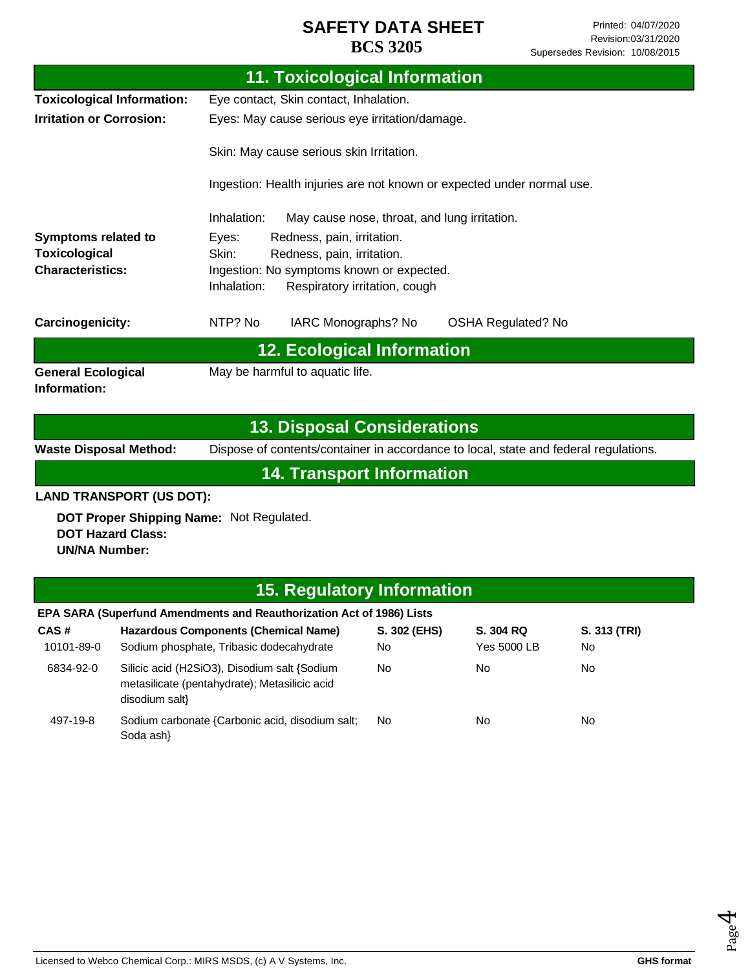| <b>11. Toxicological Information</b> |                                                                                      |  |
|--------------------------------------|--------------------------------------------------------------------------------------|--|
| <b>Toxicological Information:</b>    | Eye contact, Skin contact, Inhalation.                                               |  |
| <b>Irritation or Corrosion:</b>      | Eyes: May cause serious eye irritation/damage.                                       |  |
|                                      | Skin: May cause serious skin Irritation.                                             |  |
|                                      | Ingestion: Health injuries are not known or expected under normal use.               |  |
|                                      | Inhalation:<br>May cause nose, throat, and lung irritation.                          |  |
| Symptoms related to                  | Redness, pain, irritation.<br>Eyes:                                                  |  |
| <b>Toxicological</b>                 | Skin:<br>Redness, pain, irritation.                                                  |  |
| <b>Characteristics:</b>              | Ingestion: No symptoms known or expected.                                            |  |
|                                      | Inhalation:<br>Respiratory irritation, cough                                         |  |
| Carcinogenicity:                     | NTP? No<br>IARC Monographs? No<br><b>OSHA Regulated? No</b>                          |  |
|                                      | <b>12. Ecological Information</b>                                                    |  |
| <b>General Ecological</b>            | May be harmful to aquatic life.                                                      |  |
| Information:                         |                                                                                      |  |
|                                      |                                                                                      |  |
|                                      | <b>13. Disposal Considerations</b>                                                   |  |
| <b>Waste Disposal Method:</b>        | Dispose of contents/container in accordance to local, state and federal regulations. |  |
|                                      | <b>14. Transport Information</b>                                                     |  |

## **LAND TRANSPORT (US DOT):**

**DOT Proper Shipping Name:**  Not Regulated. **DOT Hazard Class: UN/NA Number:**

# **15. Regulatory Information**

|            | EPA SARA (Superfund Amendments and Reauthorization Act of 1986) Lists                                           |              |                    |              |
|------------|-----------------------------------------------------------------------------------------------------------------|--------------|--------------------|--------------|
| CAS#       | <b>Hazardous Components (Chemical Name)</b>                                                                     | S. 302 (EHS) | S. 304 RQ          | S. 313 (TRI) |
| 10101-89-0 | Sodium phosphate, Tribasic dodecahydrate                                                                        | No           | <b>Yes 5000 LB</b> | No.          |
| 6834-92-0  | Silicic acid (H2SiO3), Disodium salt {Sodium<br>metasilicate (pentahydrate); Metasilicic acid<br>disodium salt} | <b>No</b>    | No                 | No.          |
| 497-19-8   | Sodium carbonate {Carbonic acid, disodium salt;<br>Soda ash}                                                    | <b>No</b>    | No                 | No.          |